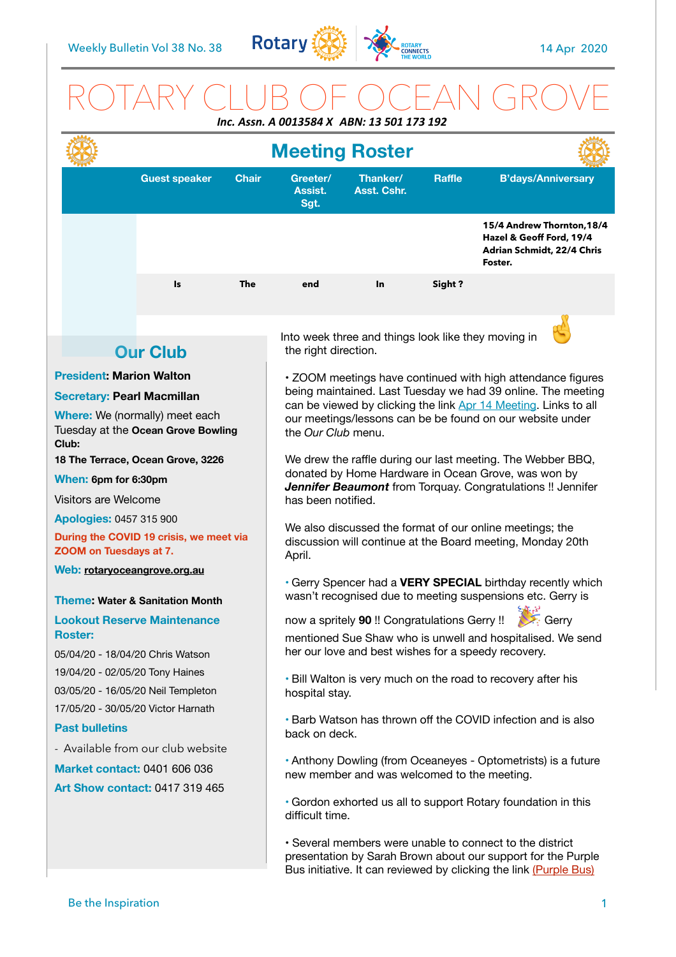

# ROTARY CLUB OF OCEAN GROVE *Inc. Assn. A 0013584 X ABN: 13 501 173 192*